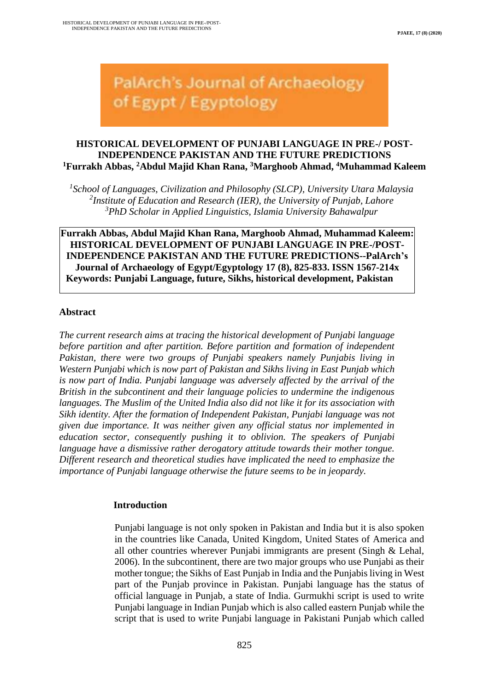# **PalArch's Journal of Archaeology** of Egypt / Egyptology

## **HISTORICAL DEVELOPMENT OF PUNJABI LANGUAGE IN PRE-/ POST-INDEPENDENCE PAKISTAN AND THE FUTURE PREDICTIONS <sup>1</sup>Furrakh Abbas, <sup>2</sup>Abdul Majid Khan Rana, <sup>3</sup>Marghoob Ahmad, <sup>4</sup>Muhammad Kaleem**

<sup>1</sup> School of Languages, Civilization and Philosophy (SLCP), University Utara Malaysia *2 Institute of Education and Research (IER), the University of Punjab, Lahore <sup>3</sup>PhD Scholar in Applied Linguistics, Islamia University Bahawalpur*

**Furrakh Abbas, Abdul Majid Khan Rana, Marghoob Ahmad, Muhammad Kaleem: HISTORICAL DEVELOPMENT OF PUNJABI LANGUAGE IN PRE-/POST-INDEPENDENCE PAKISTAN AND THE FUTURE PREDICTIONS--PalArch's Journal of Archaeology of Egypt/Egyptology 17 (8), 825-833. ISSN 1567-214x Keywords: Punjabi Language, future, Sikhs, historical development, Pakistan**

#### **Abstract**

*The current research aims at tracing the historical development of Punjabi language before partition and after partition. Before partition and formation of independent Pakistan, there were two groups of Punjabi speakers namely Punjabis living in Western Punjabi which is now part of Pakistan and Sikhs living in East Punjab which is now part of India. Punjabi language was adversely affected by the arrival of the British in the subcontinent and their language policies to undermine the indigenous languages. The Muslim of the United India also did not like it for its association with Sikh identity. After the formation of Independent Pakistan, Punjabi language was not given due importance. It was neither given any official status nor implemented in education sector, consequently pushing it to oblivion. The speakers of Punjabi language have a dismissive rather derogatory attitude towards their mother tongue. Different research and theoretical studies have implicated the need to emphasize the importance of Punjabi language otherwise the future seems to be in jeopardy.* 

## **Introduction**

Punjabi language is not only spoken in Pakistan and India but it is also spoken in the countries like Canada, United Kingdom, United States of America and all other countries wherever Punjabi immigrants are present (Singh & Lehal, 2006). In the subcontinent, there are two major groups who use Punjabi as their mother tongue; the Sikhs of East Punjab in India and the Punjabis living in West part of the Punjab province in Pakistan. Punjabi language has the status of official language in Punjab, a state of India. Gurmukhi script is used to write Punjabi language in Indian Punjab which is also called eastern Punjab while the script that is used to write Punjabi language in Pakistani Punjab which called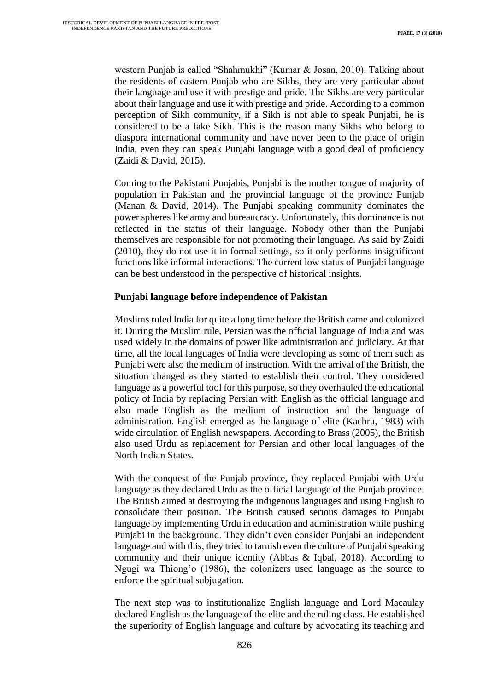western Punjab is called "Shahmukhi" (Kumar & Josan, 2010). Talking about the residents of eastern Punjab who are Sikhs, they are very particular about their language and use it with prestige and pride. The Sikhs are very particular about their language and use it with prestige and pride. According to a common perception of Sikh community, if a Sikh is not able to speak Punjabi, he is considered to be a fake Sikh. This is the reason many Sikhs who belong to diaspora international community and have never been to the place of origin India, even they can speak Punjabi language with a good deal of proficiency (Zaidi & David, 2015).

Coming to the Pakistani Punjabis, Punjabi is the mother tongue of majority of population in Pakistan and the provincial language of the province Punjab (Manan & David, 2014). The Punjabi speaking community dominates the power spheres like army and bureaucracy. Unfortunately, this dominance is not reflected in the status of their language. Nobody other than the Punjabi themselves are responsible for not promoting their language. As said by Zaidi (2010), they do not use it in formal settings, so it only performs insignificant functions like informal interactions. The current low status of Punjabi language can be best understood in the perspective of historical insights.

## **Punjabi language before independence of Pakistan**

Muslims ruled India for quite a long time before the British came and colonized it. During the Muslim rule, Persian was the official language of India and was used widely in the domains of power like administration and judiciary. At that time, all the local languages of India were developing as some of them such as Punjabi were also the medium of instruction. With the arrival of the British, the situation changed as they started to establish their control. They considered language as a powerful tool for this purpose, so they overhauled the educational policy of India by replacing Persian with English as the official language and also made English as the medium of instruction and the language of administration. English emerged as the language of elite (Kachru, 1983) with wide circulation of English newspapers. According to Brass (2005), the British also used Urdu as replacement for Persian and other local languages of the North Indian States.

With the conquest of the Punjab province, they replaced Punjabi with Urdu language as they declared Urdu as the official language of the Punjab province. The British aimed at destroying the indigenous languages and using English to consolidate their position. The British caused serious damages to Punjabi language by implementing Urdu in education and administration while pushing Punjabi in the background. They didn't even consider Punjabi an independent language and with this, they tried to tarnish even the culture of Punjabi speaking community and their unique identity (Abbas & Iqbal, 2018). According to Ngugi wa Thiong'o (1986), the colonizers used language as the source to enforce the spiritual subjugation.

The next step was to institutionalize English language and Lord Macaulay declared English as the language of the elite and the ruling class. He established the superiority of English language and culture by advocating its teaching and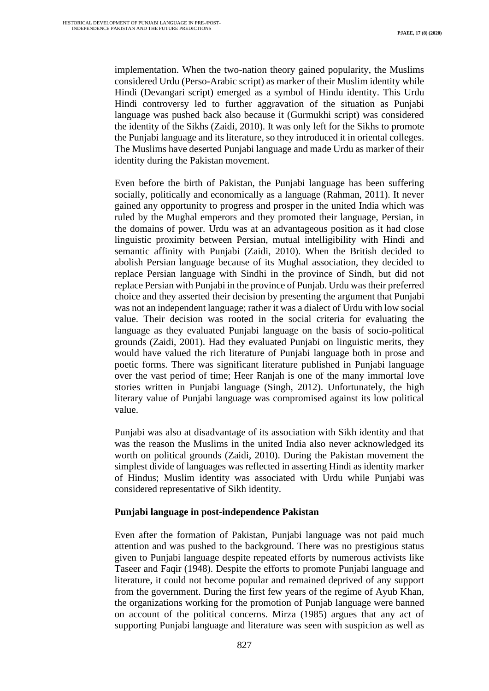implementation. When the two-nation theory gained popularity, the Muslims considered Urdu (Perso-Arabic script) as marker of their Muslim identity while Hindi (Devangari script) emerged as a symbol of Hindu identity. This Urdu Hindi controversy led to further aggravation of the situation as Punjabi language was pushed back also because it (Gurmukhi script) was considered the identity of the Sikhs (Zaidi, 2010). It was only left for the Sikhs to promote the Punjabi language and its literature, so they introduced it in oriental colleges. The Muslims have deserted Punjabi language and made Urdu as marker of their identity during the Pakistan movement.

Even before the birth of Pakistan, the Punjabi language has been suffering socially, politically and economically as a language (Rahman, 2011). It never gained any opportunity to progress and prosper in the united India which was ruled by the Mughal emperors and they promoted their language, Persian, in the domains of power. Urdu was at an advantageous position as it had close linguistic proximity between Persian, mutual intelligibility with Hindi and semantic affinity with Punjabi (Zaidi, 2010). When the British decided to abolish Persian language because of its Mughal association, they decided to replace Persian language with Sindhi in the province of Sindh, but did not replace Persian with Punjabi in the province of Punjab. Urdu was their preferred choice and they asserted their decision by presenting the argument that Punjabi was not an independent language; rather it was a dialect of Urdu with low social value. Their decision was rooted in the social criteria for evaluating the language as they evaluated Punjabi language on the basis of socio-political grounds (Zaidi, 2001). Had they evaluated Punjabi on linguistic merits, they would have valued the rich literature of Punjabi language both in prose and poetic forms. There was significant literature published in Punjabi language over the vast period of time; Heer Ranjah is one of the many immortal love stories written in Punjabi language (Singh, 2012). Unfortunately, the high literary value of Punjabi language was compromised against its low political value.

Punjabi was also at disadvantage of its association with Sikh identity and that was the reason the Muslims in the united India also never acknowledged its worth on political grounds (Zaidi, 2010). During the Pakistan movement the simplest divide of languages was reflected in asserting Hindi as identity marker of Hindus; Muslim identity was associated with Urdu while Punjabi was considered representative of Sikh identity.

## **Punjabi language in post-independence Pakistan**

Even after the formation of Pakistan, Punjabi language was not paid much attention and was pushed to the background. There was no prestigious status given to Punjabi language despite repeated efforts by numerous activists like Taseer and Faqir (1948). Despite the efforts to promote Punjabi language and literature, it could not become popular and remained deprived of any support from the government. During the first few years of the regime of Ayub Khan, the organizations working for the promotion of Punjab language were banned on account of the political concerns. Mirza (1985) argues that any act of supporting Punjabi language and literature was seen with suspicion as well as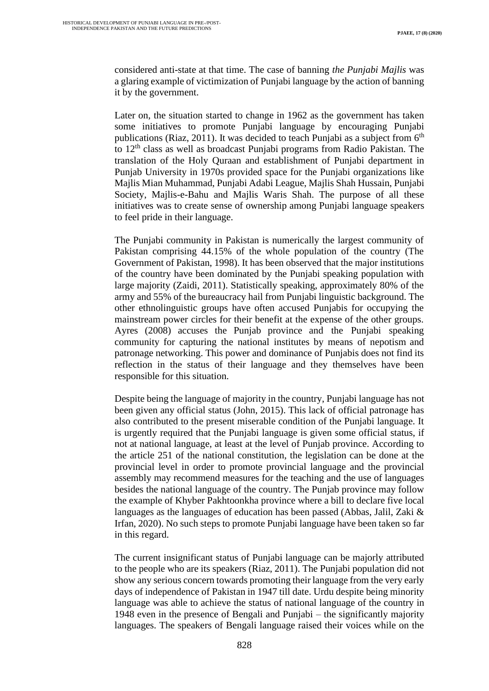considered anti-state at that time. The case of banning *the Punjabi Majlis* was a glaring example of victimization of Punjabi language by the action of banning it by the government.

Later on, the situation started to change in 1962 as the government has taken some initiatives to promote Punjabi language by encouraging Punjabi publications (Riaz, 2011). It was decided to teach Punjabi as a subject from  $6<sup>th</sup>$ to 12th class as well as broadcast Punjabi programs from Radio Pakistan. The translation of the Holy Quraan and establishment of Punjabi department in Punjab University in 1970s provided space for the Punjabi organizations like Majlis Mian Muhammad, Punjabi Adabi League, Majlis Shah Hussain, Punjabi Society, Majlis-e-Bahu and Majlis Waris Shah. The purpose of all these initiatives was to create sense of ownership among Punjabi language speakers to feel pride in their language.

The Punjabi community in Pakistan is numerically the largest community of Pakistan comprising 44.15% of the whole population of the country (The Government of Pakistan, 1998). It has been observed that the major institutions of the country have been dominated by the Punjabi speaking population with large majority (Zaidi, 2011). Statistically speaking, approximately 80% of the army and 55% of the bureaucracy hail from Punjabi linguistic background. The other ethnolinguistic groups have often accused Punjabis for occupying the mainstream power circles for their benefit at the expense of the other groups. Ayres (2008) accuses the Punjab province and the Punjabi speaking community for capturing the national institutes by means of nepotism and patronage networking. This power and dominance of Punjabis does not find its reflection in the status of their language and they themselves have been responsible for this situation.

Despite being the language of majority in the country, Punjabi language has not been given any official status (John, 2015). This lack of official patronage has also contributed to the present miserable condition of the Punjabi language. It is urgently required that the Punjabi language is given some official status, if not at national language, at least at the level of Punjab province. According to the article 251 of the national constitution, the legislation can be done at the provincial level in order to promote provincial language and the provincial assembly may recommend measures for the teaching and the use of languages besides the national language of the country. The Punjab province may follow the example of Khyber Pakhtoonkha province where a bill to declare five local languages as the languages of education has been passed (Abbas, Jalil, Zaki & Irfan, 2020). No such steps to promote Punjabi language have been taken so far in this regard.

The current insignificant status of Punjabi language can be majorly attributed to the people who are its speakers (Riaz, 2011). The Punjabi population did not show any serious concern towards promoting their language from the very early days of independence of Pakistan in 1947 till date. Urdu despite being minority language was able to achieve the status of national language of the country in 1948 even in the presence of Bengali and Punjabi – the significantly majority languages. The speakers of Bengali language raised their voices while on the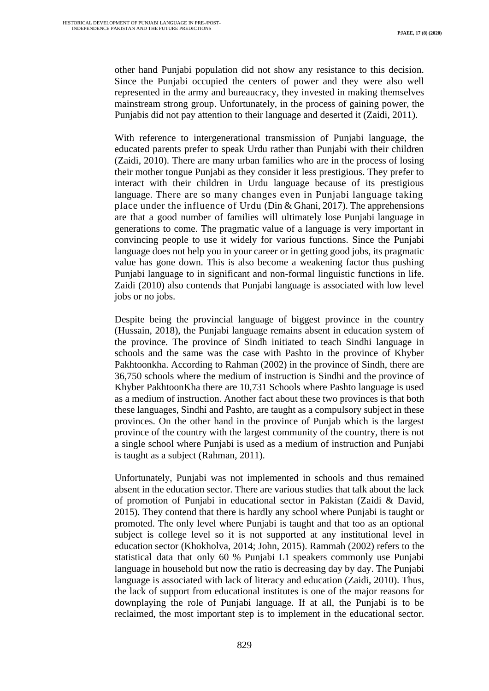other hand Punjabi population did not show any resistance to this decision. Since the Punjabi occupied the centers of power and they were also well represented in the army and bureaucracy, they invested in making themselves mainstream strong group. Unfortunately, in the process of gaining power, the Punjabis did not pay attention to their language and deserted it (Zaidi, 2011).

With reference to intergenerational transmission of Punjabi language, the educated parents prefer to speak Urdu rather than Punjabi with their children (Zaidi, 2010). There are many urban families who are in the process of losing their mother tongue Punjabi as they consider it less prestigious. They prefer to interact with their children in Urdu language because of its prestigious language. There are so many changes even in Punjabi language taking place under the influence of Urdu (Din & Ghani, 2017). The apprehensions are that a good number of families will ultimately lose Punjabi language in generations to come. The pragmatic value of a language is very important in convincing people to use it widely for various functions. Since the Punjabi language does not help you in your career or in getting good jobs, its pragmatic value has gone down. This is also become a weakening factor thus pushing Punjabi language to in significant and non-formal linguistic functions in life. Zaidi (2010) also contends that Punjabi language is associated with low level jobs or no jobs.

Despite being the provincial language of biggest province in the country (Hussain, 2018), the Punjabi language remains absent in education system of the province. The province of Sindh initiated to teach Sindhi language in schools and the same was the case with Pashto in the province of Khyber Pakhtoonkha. According to Rahman (2002) in the province of Sindh, there are 36,750 schools where the medium of instruction is Sindhi and the province of Khyber PakhtoonKha there are 10,731 Schools where Pashto language is used as a medium of instruction. Another fact about these two provinces is that both these languages, Sindhi and Pashto, are taught as a compulsory subject in these provinces. On the other hand in the province of Punjab which is the largest province of the country with the largest community of the country, there is not a single school where Punjabi is used as a medium of instruction and Punjabi is taught as a subject (Rahman, 2011).

Unfortunately, Punjabi was not implemented in schools and thus remained absent in the education sector. There are various studies that talk about the lack of promotion of Punjabi in educational sector in Pakistan (Zaidi & David, 2015). They contend that there is hardly any school where Punjabi is taught or promoted. The only level where Punjabi is taught and that too as an optional subject is college level so it is not supported at any institutional level in education sector (Khokholva, 2014; John, 2015). Rammah (2002) refers to the statistical data that only 60 % Punjabi L1 speakers commonly use Punjabi language in household but now the ratio is decreasing day by day. The Punjabi language is associated with lack of literacy and education (Zaidi, 2010). Thus, the lack of support from educational institutes is one of the major reasons for downplaying the role of Punjabi language. If at all, the Punjabi is to be reclaimed, the most important step is to implement in the educational sector.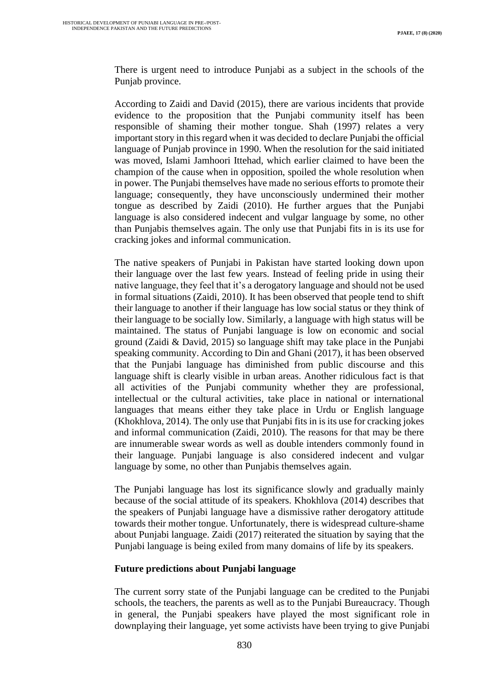There is urgent need to introduce Punjabi as a subject in the schools of the Punjab province.

According to Zaidi and David (2015), there are various incidents that provide evidence to the proposition that the Punjabi community itself has been responsible of shaming their mother tongue. Shah (1997) relates a very important story in this regard when it was decided to declare Punjabi the official language of Punjab province in 1990. When the resolution for the said initiated was moved, Islami Jamhoori Ittehad, which earlier claimed to have been the champion of the cause when in opposition, spoiled the whole resolution when in power. The Punjabi themselves have made no serious efforts to promote their language; consequently, they have unconsciously undermined their mother tongue as described by Zaidi (2010). He further argues that the Punjabi language is also considered indecent and vulgar language by some, no other than Punjabis themselves again. The only use that Punjabi fits in is its use for cracking jokes and informal communication.

The native speakers of Punjabi in Pakistan have started looking down upon their language over the last few years. Instead of feeling pride in using their native language, they feel that it's a derogatory language and should not be used in formal situations (Zaidi, 2010). It has been observed that people tend to shift their language to another if their language has low social status or they think of their language to be socially low. Similarly, a language with high status will be maintained. The status of Punjabi language is low on economic and social ground (Zaidi & David, 2015) so language shift may take place in the Punjabi speaking community. According to Din and Ghani (2017), it has been observed that the Punjabi language has diminished from public discourse and this language shift is clearly visible in urban areas. Another ridiculous fact is that all activities of the Punjabi community whether they are professional, intellectual or the cultural activities, take place in national or international languages that means either they take place in Urdu or English language (Khokhlova, 2014). The only use that Punjabi fits in is its use for cracking jokes and informal communication (Zaidi, 2010). The reasons for that may be there are innumerable swear words as well as double intenders commonly found in their language. Punjabi language is also considered indecent and vulgar language by some, no other than Punjabis themselves again.

The Punjabi language has lost its significance slowly and gradually mainly because of the social attitude of its speakers. Khokhlova (2014) describes that the speakers of Punjabi language have a dismissive rather derogatory attitude towards their mother tongue. Unfortunately, there is widespread culture-shame about Punjabi language. Zaidi (2017) reiterated the situation by saying that the Punjabi language is being exiled from many domains of life by its speakers.

#### **Future predictions about Punjabi language**

The current sorry state of the Punjabi language can be credited to the Punjabi schools, the teachers, the parents as well as to the Punjabi Bureaucracy. Though in general, the Punjabi speakers have played the most significant role in downplaying their language, yet some activists have been trying to give Punjabi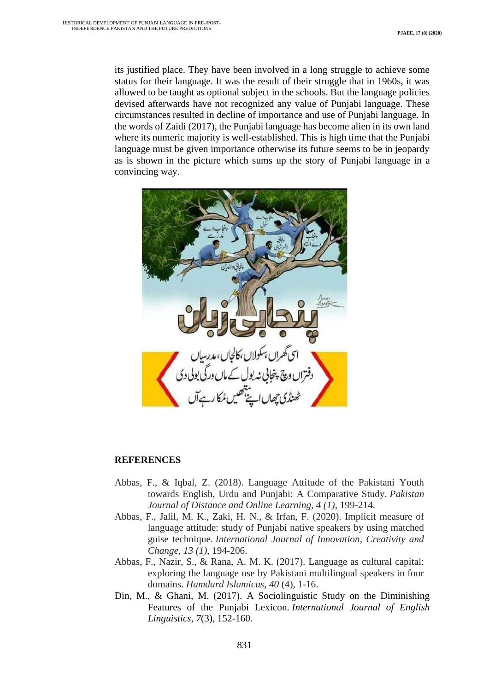its justified place. They have been involved in a long struggle to achieve some status for their language. It was the result of their struggle that in 1960s, it was allowed to be taught as optional subject in the schools. But the language policies devised afterwards have not recognized any value of Punjabi language. These circumstances resulted in decline of importance and use of Punjabi language. In the words of Zaidi (2017), the Punjabi language has become alien in its own land where its numeric majority is well-established. This is high time that the Punjabi language must be given importance otherwise its future seems to be in jeopardy as is shown in the picture which sums up the story of Punjabi language in a convincing way.



#### **REFERENCES**

- Abbas, F., & Iqbal, Z. (2018). Language Attitude of the Pakistani Youth towards English, Urdu and Punjabi: A Comparative Study. *Pakistan Journal of Distance and Online Learning, 4 (1)*, 199-214.
- Abbas, F., Jalil, M. K., Zaki, H. N., & Irfan, F. (2020). Implicit measure of language attitude: study of Punjabi native speakers by using matched guise technique. *International Journal of Innovation, Creativity and Change, 13 (1)*, 194-206.
- Abbas, F., Nazir, S., & Rana, A. M. K. (2017). Language as cultural capital: exploring the language use by Pakistani multilingual speakers in four domains. *Hamdard Islamicus*, *40* (4), 1-16.
- Din, M., & Ghani, M. (2017). A Sociolinguistic Study on the Diminishing Features of the Punjabi Lexicon. *International Journal of English Linguistics*, *7*(3), 152-160.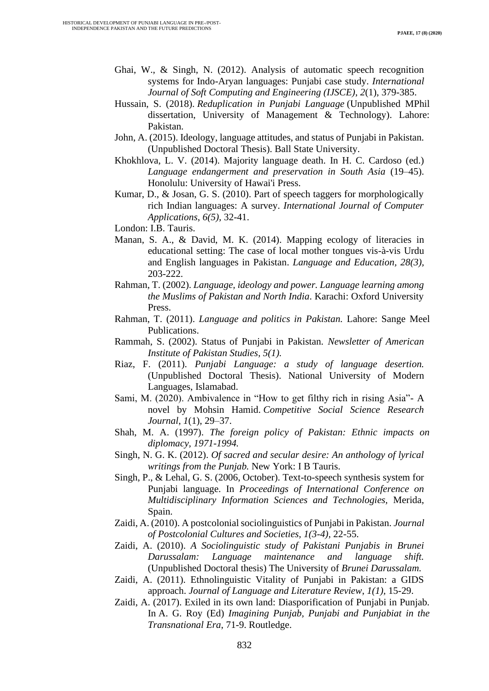- Ghai, W., & Singh, N. (2012). Analysis of automatic speech recognition systems for Indo-Aryan languages: Punjabi case study. *International Journal of Soft Computing and Engineering (IJSCE)*, *2*(1), 379-385.
- Hussain, S. (2018). *Reduplication in Punjabi Language* (Unpublished MPhil dissertation, University of Management & Technology). Lahore: Pakistan.
- John, A. (2015). Ideology, language attitudes, and status of Punjabi in Pakistan. (Unpublished Doctoral Thesis). Ball State University.
- Khokhlova, L. V. (2014). Majority language death. In H. C. Cardoso (ed.) *Language endangerment and preservation in South Asia* (19–45). Honolulu: University of Hawai'i Press.
- Kumar, D., & Josan, G. S. (2010). Part of speech taggers for morphologically rich Indian languages: A survey. *International Journal of Computer Applications*, *6(5),* 32-41.

London: I.B. Tauris.

- Manan, S. A., & David, M. K. (2014). Mapping ecology of literacies in educational setting: The case of local mother tongues vis-à-vis Urdu and English languages in Pakistan. *Language and Education, 28(3),*  203-222.
- Rahman, T. (2002). *Language, ideology and power. Language learning among the Muslims of Pakistan and North India*. Karachi: Oxford University Press.
- Rahman, T. (2011). *Language and politics in Pakistan.* Lahore: Sange Meel Publications.
- Rammah, S. (2002). Status of Punjabi in Pakistan. *Newsletter of American Institute of Pakistan Studies, 5(1).*
- Riaz, F. (2011). *Punjabi Language: a study of language desertion.*  (Unpublished Doctoral Thesis). National University of Modern Languages, Islamabad.
- Sami, M. (2020). Ambivalence in "How to get filthy rich in rising Asia"- A novel by Mohsin Hamid. *Competitive Social Science Research Journal*, *1*(1), 29–37.
- Shah, M. A. (1997). *The foreign policy of Pakistan: Ethnic impacts on diplomacy, 1971-1994.*
- Singh, N. G. K. (2012). *Of sacred and secular desire: An anthology of lyrical writings from the Punjab.* New York: I B Tauris.
- Singh, P., & Lehal, G. S. (2006, October). Text-to-speech synthesis system for Punjabi language. In *Proceedings of International Conference on Multidisciplinary Information Sciences and Technologies,* Merida, Spain.
- Zaidi, A. (2010). A postcolonial sociolinguistics of Punjabi in Pakistan. *Journal of Postcolonial Cultures and Societies, 1(3-4),* 22-55.
- Zaidi, A. (2010). *A Sociolinguistic study of Pakistani Punjabis in Brunei Darussalam: Language maintenance and language shift.*  (Unpublished Doctoral thesis) The University of *Brunei Darussalam.*
- Zaidi, A. (2011). Ethnolinguistic Vitality of Punjabi in Pakistan: a GIDS approach. *Journal of Language and Literature Review*, *1(1),* 15-29.
- Zaidi, A. (2017). Exiled in its own land: Diasporification of Punjabi in Punjab. In A. G. Roy (Ed) *Imagining Punjab, Punjabi and Punjabiat in the Transnational Era*, 71-9. Routledge.